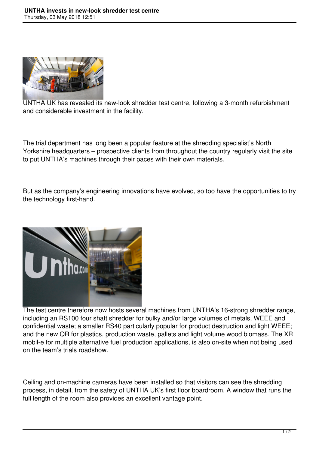

UNTHA UK has revealed its new-look shredder test centre, following a 3-month refurbishment and considerable investment in the facility.

The trial department has long been a popular feature at the shredding specialist's North Yorkshire headquarters – prospective clients from throughout the country regularly visit the site to put UNTHA's machines through their paces with their own materials.

But as the company's engineering innovations have evolved, so too have the opportunities to try the technology first-hand.



The test centre therefore now hosts several machines from UNTHA's 16-strong shredder range, including an RS100 four shaft shredder for bulky and/or large volumes of metals, WEEE and confidential waste; a smaller RS40 particularly popular for product destruction and light WEEE; and the new QR for plastics, production waste, pallets and light volume wood biomass. The XR mobil-e for multiple alternative fuel production applications, is also on-site when not being used on the team's trials roadshow.

Ceiling and on-machine cameras have been installed so that visitors can see the shredding process, in detail, from the safety of UNTHA UK's first floor boardroom. A window that runs the full length of the room also provides an excellent vantage point.